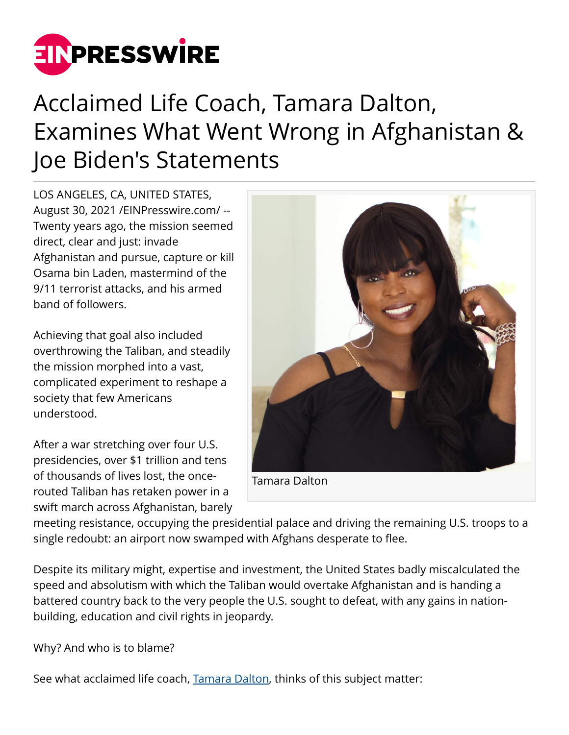

## Acclaimed Life Coach, Tamara Dalton, Examines What Went Wrong in Afghanistan & Joe Biden's Statements

LOS ANGELES, CA, UNITED STATES, August 30, 2021 /[EINPresswire.com/](http://www.einpresswire.com) -- Twenty years ago, the mission seemed direct, clear and just: invade Afghanistan and pursue, capture or kill Osama bin Laden, mastermind of the 9/11 terrorist attacks, and his armed band of followers.

Achieving that goal also included overthrowing the Taliban, and steadily the mission morphed into a vast, complicated experiment to reshape a society that few Americans understood.

After a war stretching over four U.S. presidencies, over \$1 trillion and tens of thousands of lives lost, the oncerouted Taliban has retaken power in a swift march across Afghanistan, barely



meeting resistance, occupying the presidential palace and driving the remaining U.S. troops to a single redoubt: an airport now swamped with Afghans desperate to flee.

Despite its military might, expertise and investment, the United States badly miscalculated the speed and absolutism with which the Taliban would overtake Afghanistan and is handing a battered country back to the very people the U.S. sought to defeat, with any gains in nationbuilding, education and civil rights in jeopardy.

Why? And who is to blame?

See what acclaimed life coach, [Tamara Dalton,](https://www.amazon.com/Art-Coping-Discover-Calmness-Spirituality/dp/1093422297/ref=sr_1_2?dchild=1&qid=1628636417&refinements=p_27%3AMs.+Tamara+Dalton&s=books&sr=1-2&text=Ms.+Tamara+Dalton) thinks of this subject matter: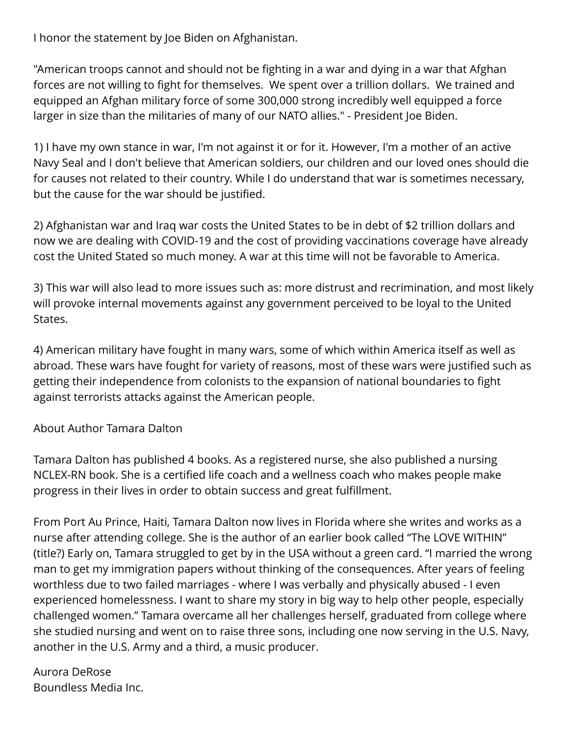I honor the statement by Joe Biden on Afghanistan.

"American troops cannot and should not be fighting in a war and dying in a war that Afghan forces are not willing to fight for themselves. We spent over a trillion dollars. We trained and equipped an Afghan military force of some 300,000 strong incredibly well equipped a force larger in size than the militaries of many of our NATO allies." - President Joe Biden.

1) I have my own stance in war, I'm not against it or for it. However, I'm a mother of an active Navy Seal and I don't believe that American soldiers, our children and our loved ones should die for causes not related to their country. While I do understand that war is sometimes necessary, but the cause for the war should be justified.

2) Afghanistan war and Iraq war costs the United States to be in debt of \$2 trillion dollars and now we are dealing with COVID-19 and the cost of providing vaccinations coverage have already cost the United Stated so much money. A war at this time will not be favorable to America.

3) This war will also lead to more issues such as: more distrust and recrimination, and most likely will provoke internal movements against any government perceived to be loyal to the United States.

4) American military have fought in many wars, some of which within America itself as well as abroad. These wars have fought for variety of reasons, most of these wars were justified such as getting their independence from colonists to the expansion of national boundaries to fight against terrorists attacks against the American people.

About Author Tamara Dalton

Tamara Dalton has published 4 books. As a registered nurse, she also published a nursing NCLEX-RN book. She is a certified life coach and a wellness coach who makes people make progress in their lives in order to obtain success and great fulfillment.

From Port Au Prince, Haiti, Tamara Dalton now lives in Florida where she writes and works as a nurse after attending college. She is the author of an earlier book called "The LOVE WITHIN" (title?) Early on, Tamara struggled to get by in the USA without a green card. "I married the wrong man to get my immigration papers without thinking of the consequences. After years of feeling worthless due to two failed marriages - where I was verbally and physically abused - I even experienced homelessness. I want to share my story in big way to help other people, especially challenged women." Tamara overcame all her challenges herself, graduated from college where she studied nursing and went on to raise three sons, including one now serving in the U.S. Navy, another in the U.S. Army and a third, a music producer.

Aurora DeRose Boundless Media Inc.